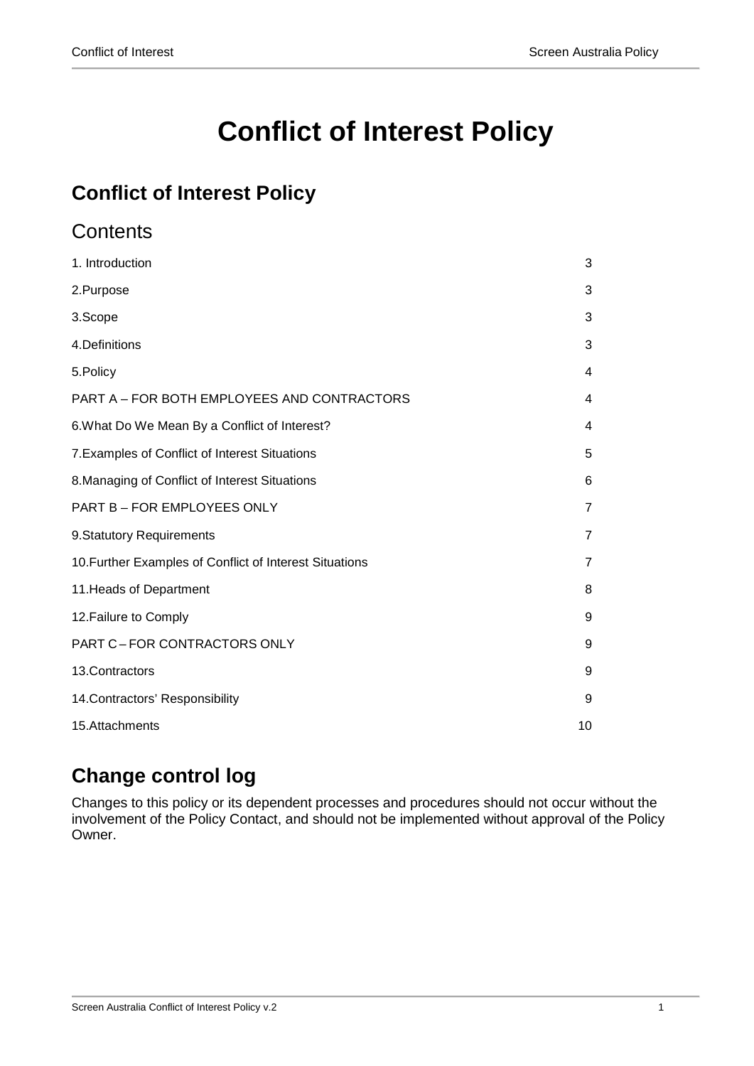# **Conflict of Interest Policy**

# **Conflict of Interest Policy**

# **Contents**

| 1. Introduction                                         | 3              |
|---------------------------------------------------------|----------------|
| 2.Purpose                                               | 3              |
| 3.Scope                                                 | 3              |
| 4. Definitions                                          | 3              |
| 5. Policy                                               | 4              |
| PART A - FOR BOTH EMPLOYEES AND CONTRACTORS             | 4              |
| 6. What Do We Mean By a Conflict of Interest?           | 4              |
| 7. Examples of Conflict of Interest Situations          | 5              |
| 8. Managing of Conflict of Interest Situations          | 6              |
| PART B - FOR EMPLOYEES ONLY                             | $\overline{7}$ |
| 9. Statutory Requirements                               | $\overline{7}$ |
| 10. Further Examples of Conflict of Interest Situations | $\overline{7}$ |
| 11. Heads of Department                                 | 8              |
| 12. Failure to Comply                                   | 9              |
| PART C-FOR CONTRACTORS ONLY                             | 9              |
| 13.Contractors                                          | 9              |
| 14. Contractors' Responsibility                         | 9              |
| 15.Attachments                                          | 10             |

# **Change control log**

Changes to this policy or its dependent processes and procedures should not occur without the involvement of the Policy Contact, and should not be implemented without approval of the Policy Owner.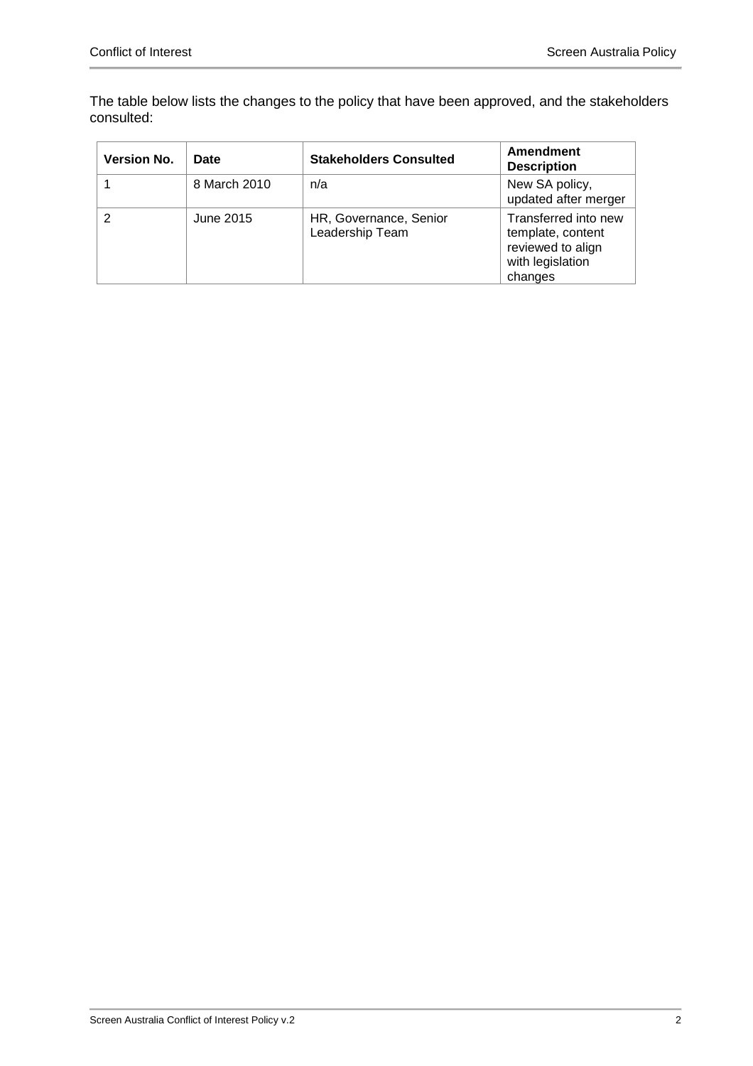The table below lists the changes to the policy that have been approved, and the stakeholders consulted:

| <b>Version No.</b> | <b>Date</b>  | <b>Stakeholders Consulted</b>             | Amendment<br><b>Description</b>                                                               |
|--------------------|--------------|-------------------------------------------|-----------------------------------------------------------------------------------------------|
|                    | 8 March 2010 | n/a                                       | New SA policy,<br>updated after merger                                                        |
|                    | June 2015    | HR, Governance, Senior<br>Leadership Team | Transferred into new<br>template, content<br>reviewed to align<br>with legislation<br>changes |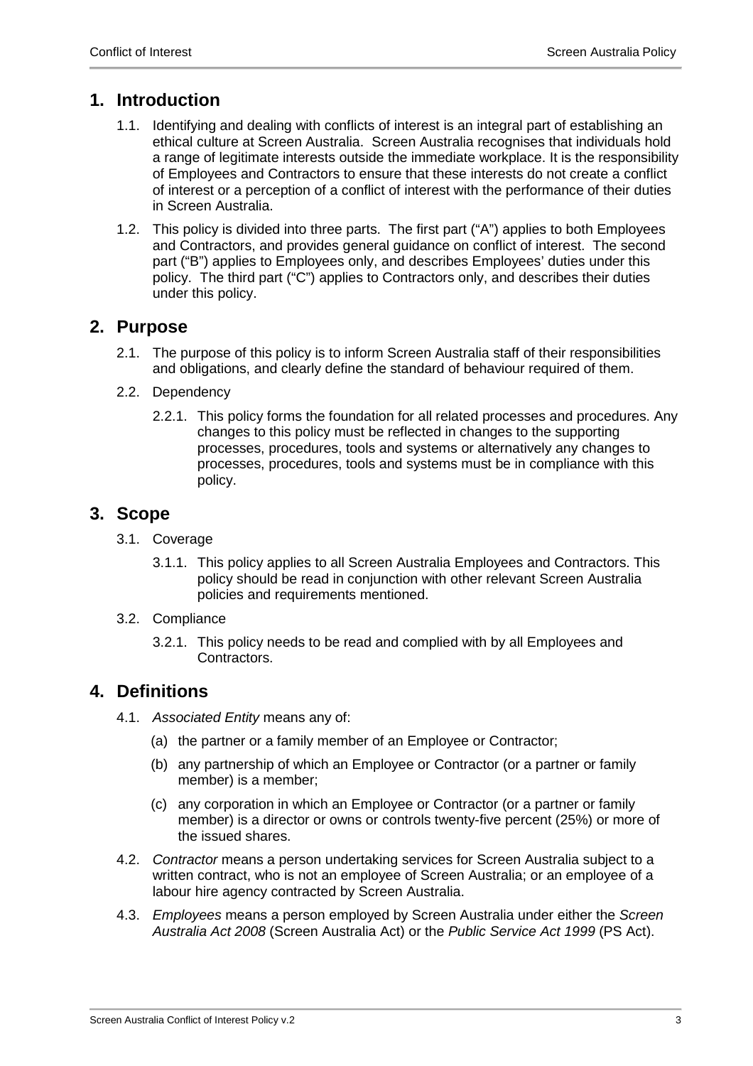### <span id="page-2-0"></span>**1. Introduction**

- 1.1. Identifying and dealing with conflicts of interest is an integral part of establishing an ethical culture at Screen Australia. Screen Australia recognises that individuals hold a range of legitimate interests outside the immediate workplace. It is the responsibility of Employees and Contractors to ensure that these interests do not create a conflict of interest or a perception of a conflict of interest with the performance of their duties in Screen Australia.
- 1.2. This policy is divided into three parts. The first part ("A") applies to both Employees and Contractors, and provides general guidance on conflict of interest. The second part ("B") applies to Employees only, and describes Employees' duties under this policy. The third part ("C") applies to Contractors only, and describes their duties under this policy.

### <span id="page-2-1"></span>**2. Purpose**

- 2.1. The purpose of this policy is to inform Screen Australia staff of their responsibilities and obligations, and clearly define the standard of behaviour required of them.
- 2.2. Dependency
	- 2.2.1. This policy forms the foundation for all related processes and procedures. Any changes to this policy must be reflected in changes to the supporting processes, procedures, tools and systems or alternatively any changes to processes, procedures, tools and systems must be in compliance with this policy.

### <span id="page-2-2"></span>**3. Scope**

- 3.1. Coverage
	- 3.1.1. This policy applies to all Screen Australia Employees and Contractors. This policy should be read in conjunction with other relevant Screen Australia policies and requirements mentioned.
- 3.2. Compliance
	- 3.2.1. This policy needs to be read and complied with by all Employees and Contractors.

### <span id="page-2-3"></span>**4. Definitions**

- 4.1. *Associated Entity* means any of:
	- (a) the partner or a family member of an Employee or Contractor;
	- (b) any partnership of which an Employee or Contractor (or a partner or family member) is a member;
	- (c) any corporation in which an Employee or Contractor (or a partner or family member) is a director or owns or controls twenty-five percent (25%) or more of the issued shares.
- 4.2. *Contractor* means a person undertaking services for Screen Australia subject to a written contract, who is not an employee of Screen Australia; or an employee of a labour hire agency contracted by Screen Australia.
- 4.3. *Employees* means a person employed by Screen Australia under either the *Screen Australia Act 2008* (Screen Australia Act) or the *Public Service Act 1999* (PS Act).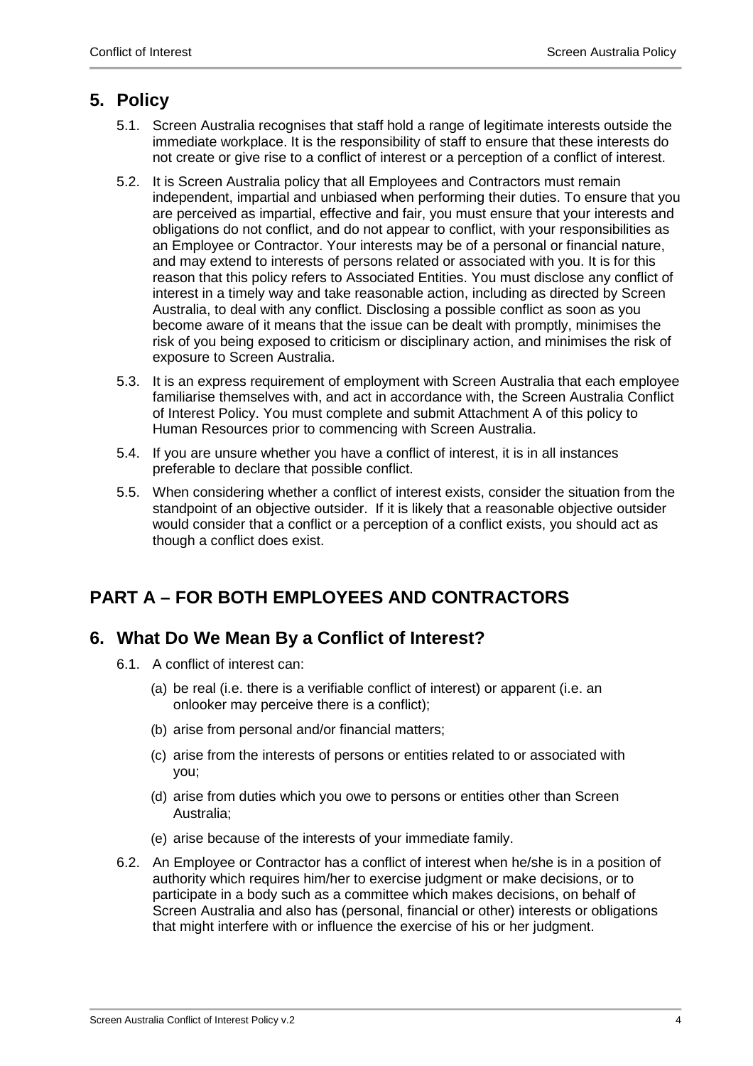## <span id="page-3-0"></span>**5. Policy**

- 5.1. Screen Australia recognises that staff hold a range of legitimate interests outside the immediate workplace. It is the responsibility of staff to ensure that these interests do not create or give rise to a conflict of interest or a perception of a conflict of interest.
- 5.2. It is Screen Australia policy that all Employees and Contractors must remain independent, impartial and unbiased when performing their duties. To ensure that you are perceived as impartial, effective and fair, you must ensure that your interests and obligations do not conflict, and do not appear to conflict, with your responsibilities as an Employee or Contractor. Your interests may be of a personal or financial nature, and may extend to interests of persons related or associated with you. It is for this reason that this policy refers to Associated Entities. You must disclose any conflict of interest in a timely way and take reasonable action, including as directed by Screen Australia, to deal with any conflict. Disclosing a possible conflict as soon as you become aware of it means that the issue can be dealt with promptly, minimises the risk of you being exposed to criticism or disciplinary action, and minimises the risk of exposure to Screen Australia.
- 5.3. It is an express requirement of employment with Screen Australia that each employee familiarise themselves with, and act in accordance with, the Screen Australia Conflict of Interest Policy. You must complete and submit Attachment A of this policy to Human Resources prior to commencing with Screen Australia.
- 5.4. If you are unsure whether you have a conflict of interest, it is in all instances preferable to declare that possible conflict.
- 5.5. When considering whether a conflict of interest exists, consider the situation from the standpoint of an objective outsider. If it is likely that a reasonable objective outsider would consider that a conflict or a perception of a conflict exists, you should act as though a conflict does exist.

# <span id="page-3-1"></span>**PART A – FOR BOTH EMPLOYEES AND CONTRACTORS**

### <span id="page-3-2"></span>**6. What Do We Mean By a Conflict of Interest?**

- 6.1. A conflict of interest can:
	- (a) be real (i.e. there is a verifiable conflict of interest) or apparent (i.e. an onlooker may perceive there is a conflict);
	- (b) arise from personal and/or financial matters;
	- (c) arise from the interests of persons or entities related to or associated with you;
	- (d) arise from duties which you owe to persons or entities other than Screen Australia;
	- (e) arise because of the interests of your immediate family.
- 6.2. An Employee or Contractor has a conflict of interest when he/she is in a position of authority which requires him/her to exercise judgment or make decisions, or to participate in a body such as a committee which makes decisions, on behalf of Screen Australia and also has (personal, financial or other) interests or obligations that might interfere with or influence the exercise of his or her judgment.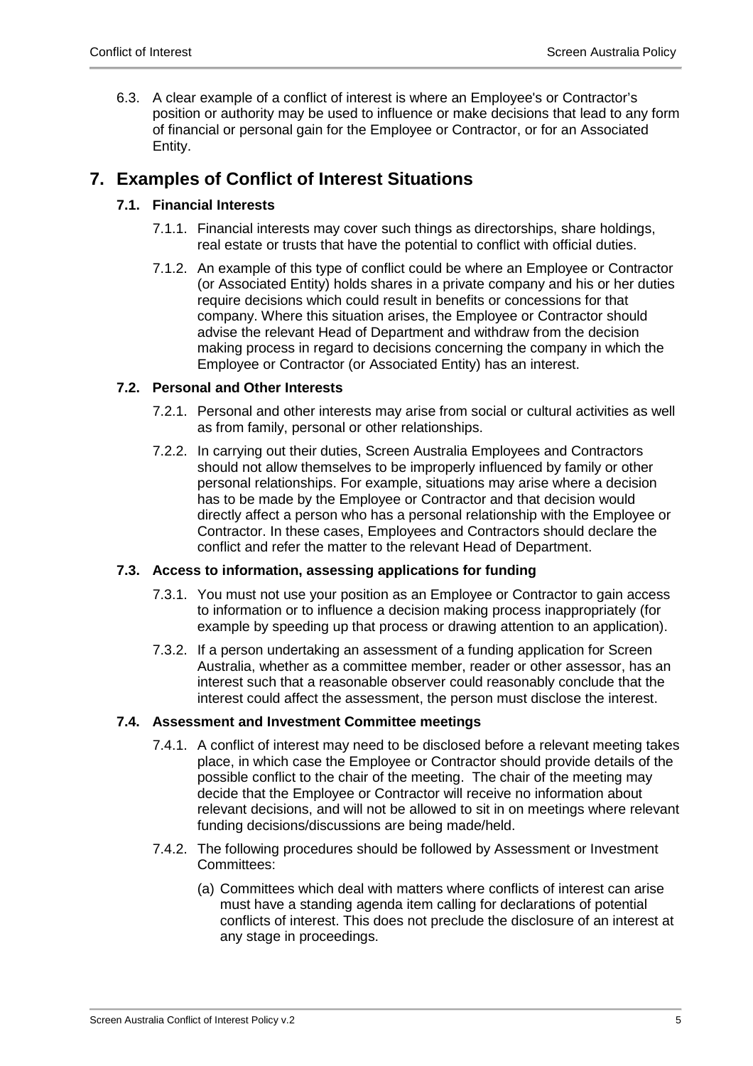6.3. A clear example of a conflict of interest is where an Employee's or Contractor's position or authority may be used to influence or make decisions that lead to any form of financial or personal gain for the Employee or Contractor, or for an Associated Entity.

### <span id="page-4-0"></span>**7. Examples of Conflict of Interest Situations**

#### **7.1. Financial Interests**

- 7.1.1. Financial interests may cover such things as directorships, share holdings, real estate or trusts that have the potential to conflict with official duties.
- 7.1.2. An example of this type of conflict could be where an Employee or Contractor (or Associated Entity) holds shares in a private company and his or her duties require decisions which could result in benefits or concessions for that company. Where this situation arises, the Employee or Contractor should advise the relevant Head of Department and withdraw from the decision making process in regard to decisions concerning the company in which the Employee or Contractor (or Associated Entity) has an interest.

#### **7.2. Personal and Other Interests**

- 7.2.1. Personal and other interests may arise from social or cultural activities as well as from family, personal or other relationships.
- 7.2.2. In carrying out their duties, Screen Australia Employees and Contractors should not allow themselves to be improperly influenced by family or other personal relationships. For example, situations may arise where a decision has to be made by the Employee or Contractor and that decision would directly affect a person who has a personal relationship with the Employee or Contractor. In these cases, Employees and Contractors should declare the conflict and refer the matter to the relevant Head of Department.

#### **7.3. Access to information, assessing applications for funding**

- 7.3.1. You must not use your position as an Employee or Contractor to gain access to information or to influence a decision making process inappropriately (for example by speeding up that process or drawing attention to an application).
- 7.3.2. If a person undertaking an assessment of a funding application for Screen Australia, whether as a committee member, reader or other assessor, has an interest such that a reasonable observer could reasonably conclude that the interest could affect the assessment, the person must disclose the interest.

#### **7.4. Assessment and Investment Committee meetings**

- 7.4.1. A conflict of interest may need to be disclosed before a relevant meeting takes place, in which case the Employee or Contractor should provide details of the possible conflict to the chair of the meeting. The chair of the meeting may decide that the Employee or Contractor will receive no information about relevant decisions, and will not be allowed to sit in on meetings where relevant funding decisions/discussions are being made/held.
- 7.4.2. The following procedures should be followed by Assessment or Investment Committees:
	- (a) Committees which deal with matters where conflicts of interest can arise must have a standing agenda item calling for declarations of potential conflicts of interest. This does not preclude the disclosure of an interest at any stage in proceedings.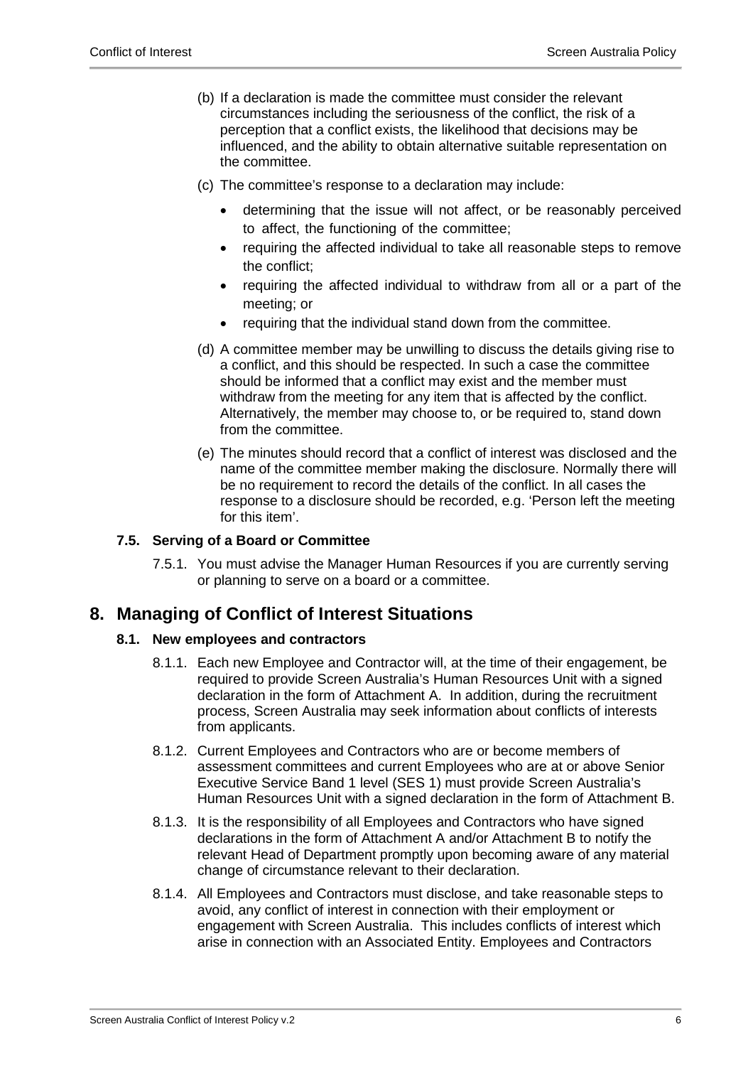- (b) If a declaration is made the committee must consider the relevant circumstances including the seriousness of the conflict, the risk of a perception that a conflict exists, the likelihood that decisions may be influenced, and the ability to obtain alternative suitable representation on the committee.
- (c) The committee's response to a declaration may include:
	- determining that the issue will not affect, or be reasonably perceived to affect, the functioning of the committee;
	- requiring the affected individual to take all reasonable steps to remove the conflict;
	- requiring the affected individual to withdraw from all or a part of the meeting; or
	- requiring that the individual stand down from the committee.
- (d) A committee member may be unwilling to discuss the details giving rise to a conflict, and this should be respected. In such a case the committee should be informed that a conflict may exist and the member must withdraw from the meeting for any item that is affected by the conflict. Alternatively, the member may choose to, or be required to, stand down from the committee.
- (e) The minutes should record that a conflict of interest was disclosed and the name of the committee member making the disclosure. Normally there will be no requirement to record the details of the conflict. In all cases the response to a disclosure should be recorded, e.g. 'Person left the meeting for this item'.

#### **7.5. Serving of a Board or Committee**

7.5.1. You must advise the Manager Human Resources if you are currently serving or planning to serve on a board or a committee.

### <span id="page-5-0"></span>**8. Managing of Conflict of Interest Situations**

#### **8.1. New employees and contractors**

- 8.1.1. Each new Employee and Contractor will, at the time of their engagement, be required to provide Screen Australia's Human Resources Unit with a signed declaration in the form of Attachment A. In addition, during the recruitment process, Screen Australia may seek information about conflicts of interests from applicants.
- 8.1.2. Current Employees and Contractors who are or become members of assessment committees and current Employees who are at or above Senior Executive Service Band 1 level (SES 1) must provide Screen Australia's Human Resources Unit with a signed declaration in the form of Attachment B.
- 8.1.3. It is the responsibility of all Employees and Contractors who have signed declarations in the form of Attachment A and/or Attachment B to notify the relevant Head of Department promptly upon becoming aware of any material change of circumstance relevant to their declaration.
- 8.1.4. All Employees and Contractors must disclose, and take reasonable steps to avoid, any conflict of interest in connection with their employment or engagement with Screen Australia. This includes conflicts of interest which arise in connection with an Associated Entity. Employees and Contractors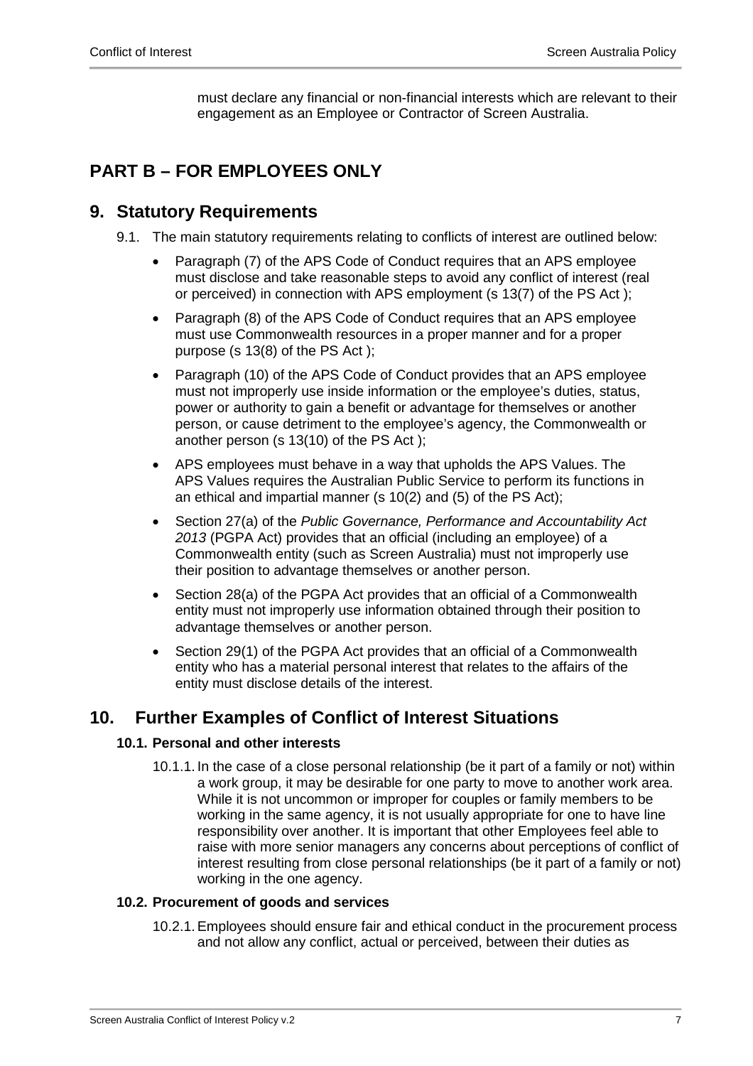must declare any financial or non-financial interests which are relevant to their engagement as an Employee or Contractor of Screen Australia.

# <span id="page-6-0"></span>**PART B – FOR EMPLOYEES ONLY**

### <span id="page-6-1"></span>**9. Statutory Requirements**

- 9.1. The main statutory requirements relating to conflicts of interest are outlined below:
	- Paragraph (7) of the APS Code of Conduct requires that an APS employee must disclose and take reasonable steps to avoid any conflict of interest (real or perceived) in connection with APS employment (s 13(7) of the PS Act );
	- Paragraph (8) of the APS Code of Conduct requires that an APS employee must use Commonwealth resources in a proper manner and for a proper purpose (s 13(8) of the PS Act );
	- Paragraph (10) of the APS Code of Conduct provides that an APS employee must not improperly use inside information or the employee's duties, status, power or authority to gain a benefit or advantage for themselves or another person, or cause detriment to the employee's agency, the Commonwealth or another person (s 13(10) of the PS Act );
	- APS employees must behave in a way that upholds the APS Values. The APS Values requires the Australian Public Service to perform its functions in an ethical and impartial manner (s 10(2) and (5) of the PS Act);
	- Section 27(a) of the *Public Governance, Performance and Accountability Act 2013* (PGPA Act) provides that an official (including an employee) of a Commonwealth entity (such as Screen Australia) must not improperly use their position to advantage themselves or another person.
	- Section 28(a) of the PGPA Act provides that an official of a Commonwealth entity must not improperly use information obtained through their position to advantage themselves or another person.
	- Section 29(1) of the PGPA Act provides that an official of a Commonwealth entity who has a material personal interest that relates to the affairs of the entity must disclose details of the interest.

### <span id="page-6-2"></span>**10. Further Examples of Conflict of Interest Situations**

#### **10.1. Personal and other interests**

10.1.1. In the case of a close personal relationship (be it part of a family or not) within a work group, it may be desirable for one party to move to another work area. While it is not uncommon or improper for couples or family members to be working in the same agency, it is not usually appropriate for one to have line responsibility over another. It is important that other Employees feel able to raise with more senior managers any concerns about perceptions of conflict of interest resulting from close personal relationships (be it part of a family or not) working in the one agency.

#### **10.2. Procurement of goods and services**

10.2.1.Employees should ensure fair and ethical conduct in the procurement process and not allow any conflict, actual or perceived, between their duties as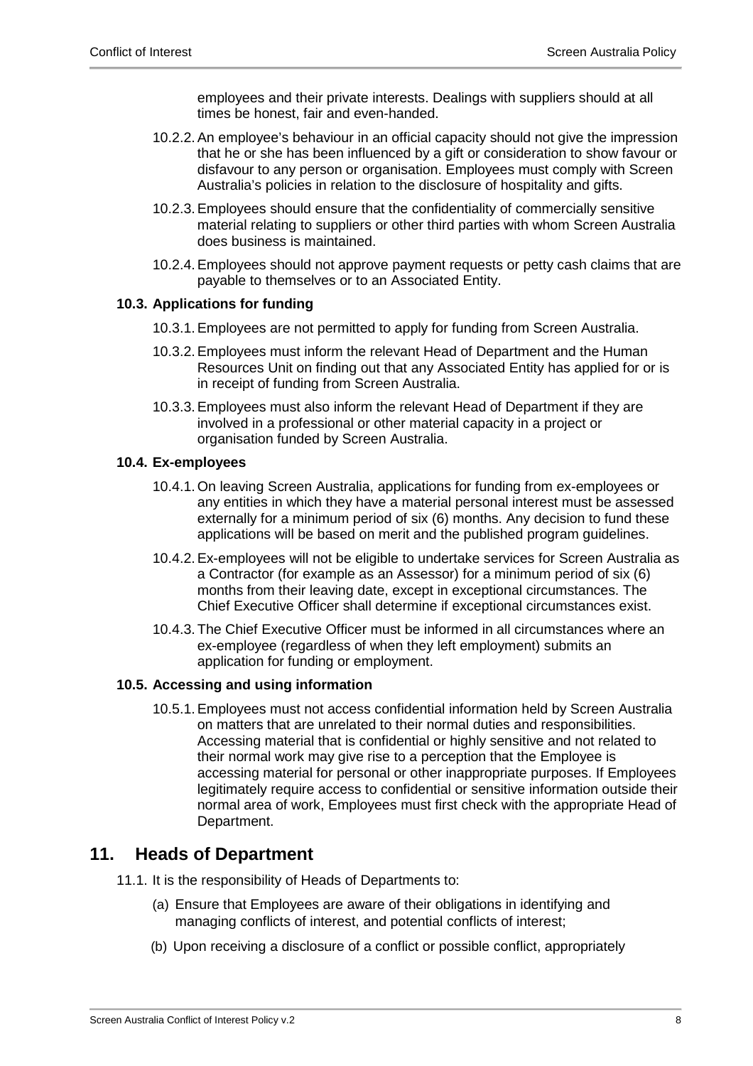employees and their private interests. Dealings with suppliers should at all times be honest, fair and even-handed.

- 10.2.2.An employee's behaviour in an official capacity should not give the impression that he or she has been influenced by a gift or consideration to show favour or disfavour to any person or organisation. Employees must comply with Screen Australia's policies in relation to the disclosure of hospitality and gifts.
- 10.2.3.Employees should ensure that the confidentiality of commercially sensitive material relating to suppliers or other third parties with whom Screen Australia does business is maintained.
- 10.2.4.Employees should not approve payment requests or petty cash claims that are payable to themselves or to an Associated Entity.

#### **10.3. Applications for funding**

- 10.3.1.Employees are not permitted to apply for funding from Screen Australia.
- 10.3.2.Employees must inform the relevant Head of Department and the Human Resources Unit on finding out that any Associated Entity has applied for or is in receipt of funding from Screen Australia.
- 10.3.3.Employees must also inform the relevant Head of Department if they are involved in a professional or other material capacity in a project or organisation funded by Screen Australia.

#### **10.4. Ex-employees**

- 10.4.1. On leaving Screen Australia, applications for funding from ex-employees or any entities in which they have a material personal interest must be assessed externally for a minimum period of six (6) months. Any decision to fund these applications will be based on merit and the published program guidelines.
- 10.4.2.Ex-employees will not be eligible to undertake services for Screen Australia as a Contractor (for example as an Assessor) for a minimum period of six (6) months from their leaving date, except in exceptional circumstances. The Chief Executive Officer shall determine if exceptional circumstances exist.
- 10.4.3. The Chief Executive Officer must be informed in all circumstances where an ex-employee (regardless of when they left employment) submits an application for funding or employment.

#### **10.5. Accessing and using information**

10.5.1.Employees must not access confidential information held by Screen Australia on matters that are unrelated to their normal duties and responsibilities. Accessing material that is confidential or highly sensitive and not related to their normal work may give rise to a perception that the Employee is accessing material for personal or other inappropriate purposes. If Employees legitimately require access to confidential or sensitive information outside their normal area of work, Employees must first check with the appropriate Head of Department.

### <span id="page-7-0"></span>**11. Heads of Department**

- 11.1. It is the responsibility of Heads of Departments to:
	- (a) Ensure that Employees are aware of their obligations in identifying and managing conflicts of interest, and potential conflicts of interest;
	- (b) Upon receiving a disclosure of a conflict or possible conflict, appropriately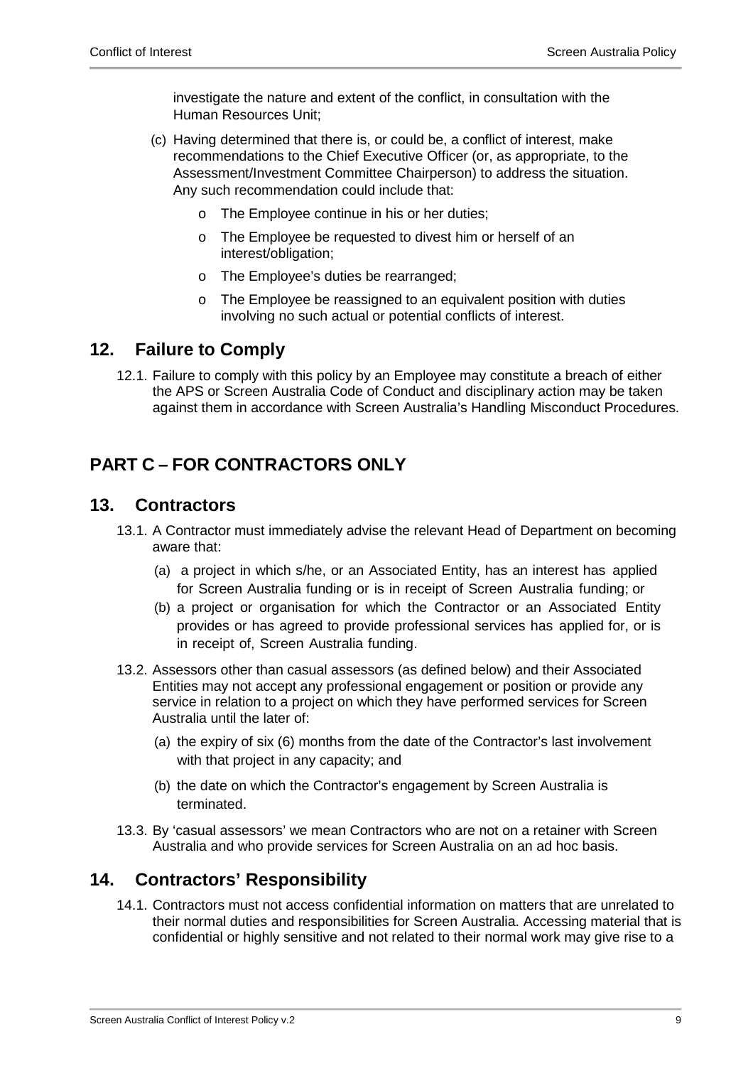investigate the nature and extent of the conflict, in consultation with the Human Resources Unit;

- (c) Having determined that there is, or could be, a conflict of interest, make recommendations to the Chief Executive Officer (or, as appropriate, to the Assessment/Investment Committee Chairperson) to address the situation. Any such recommendation could include that:
	- o The Employee continue in his or her duties;
	- o The Employee be requested to divest him or herself of an interest/obligation;
	- o The Employee's duties be rearranged;
	- o The Employee be reassigned to an equivalent position with duties involving no such actual or potential conflicts of interest.

### <span id="page-8-0"></span>**12. Failure to Comply**

12.1. Failure to comply with this policy by an Employee may constitute a breach of either the APS or Screen Australia Code of Conduct and disciplinary action may be taken against them in accordance with Screen Australia's Handling Misconduct Procedures.

# <span id="page-8-1"></span>**PART C – FOR CONTRACTORS ONLY**

### <span id="page-8-2"></span>**13. Contractors**

- 13.1. A Contractor must immediately advise the relevant Head of Department on becoming aware that:
	- (a) a project in which s/he, or an Associated Entity, has an interest has applied for Screen Australia funding or is in receipt of Screen Australia funding; or
	- (b) a project or organisation for which the Contractor or an Associated Entity provides or has agreed to provide professional services has applied for, or is in receipt of, Screen Australia funding.
- 13.2. Assessors other than casual assessors (as defined below) and their Associated Entities may not accept any professional engagement or position or provide any service in relation to a project on which they have performed services for Screen Australia until the later of:
	- (a) the expiry of six (6) months from the date of the Contractor's last involvement with that project in any capacity; and
	- (b) the date on which the Contractor's engagement by Screen Australia is terminated.
- 13.3. By 'casual assessors' we mean Contractors who are not on a retainer with Screen Australia and who provide services for Screen Australia on an ad hoc basis.

### <span id="page-8-3"></span>**14. Contractors' Responsibility**

14.1. Contractors must not access confidential information on matters that are unrelated to their normal duties and responsibilities for Screen Australia. Accessing material that is confidential or highly sensitive and not related to their normal work may give rise to a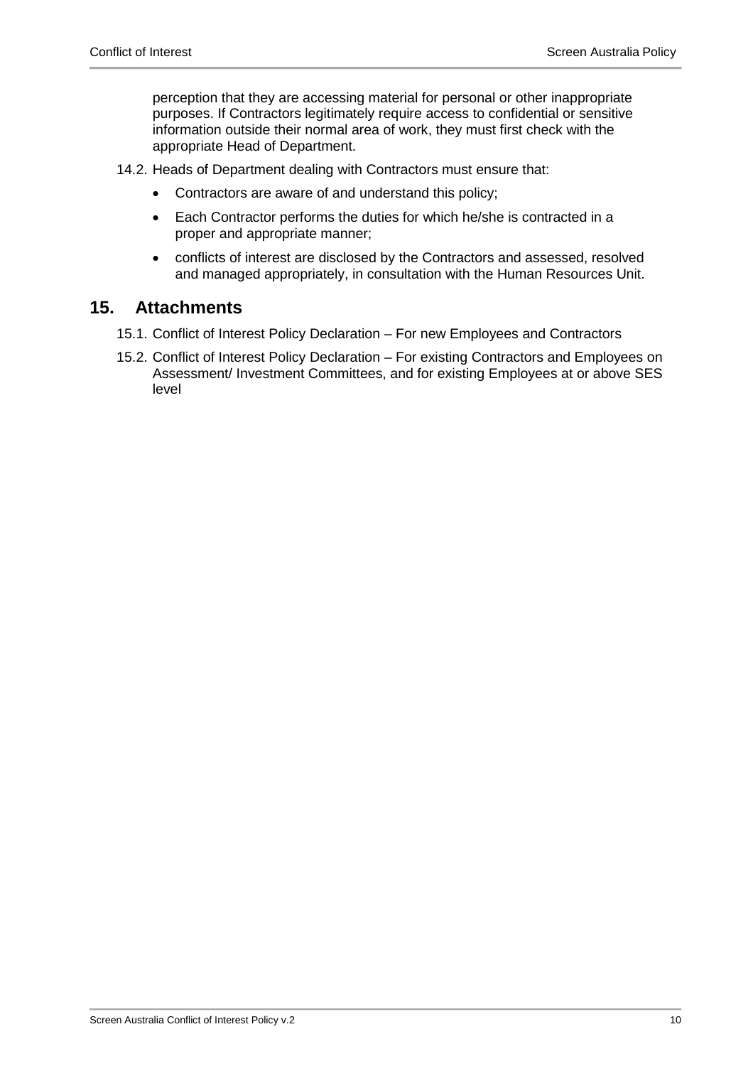perception that they are accessing material for personal or other inappropriate purposes. If Contractors legitimately require access to confidential or sensitive information outside their normal area of work, they must first check with the appropriate Head of Department.

- 14.2. Heads of Department dealing with Contractors must ensure that:
	- Contractors are aware of and understand this policy;
	- Each Contractor performs the duties for which he/she is contracted in a proper and appropriate manner;
	- conflicts of interest are disclosed by the Contractors and assessed, resolved and managed appropriately, in consultation with the Human Resources Unit.

#### <span id="page-9-0"></span>**15. Attachments**

- 15.1. Conflict of Interest Policy Declaration For new Employees and Contractors
- 15.2. Conflict of Interest Policy Declaration For existing Contractors and Employees on Assessment/ Investment Committees, and for existing Employees at or above SES level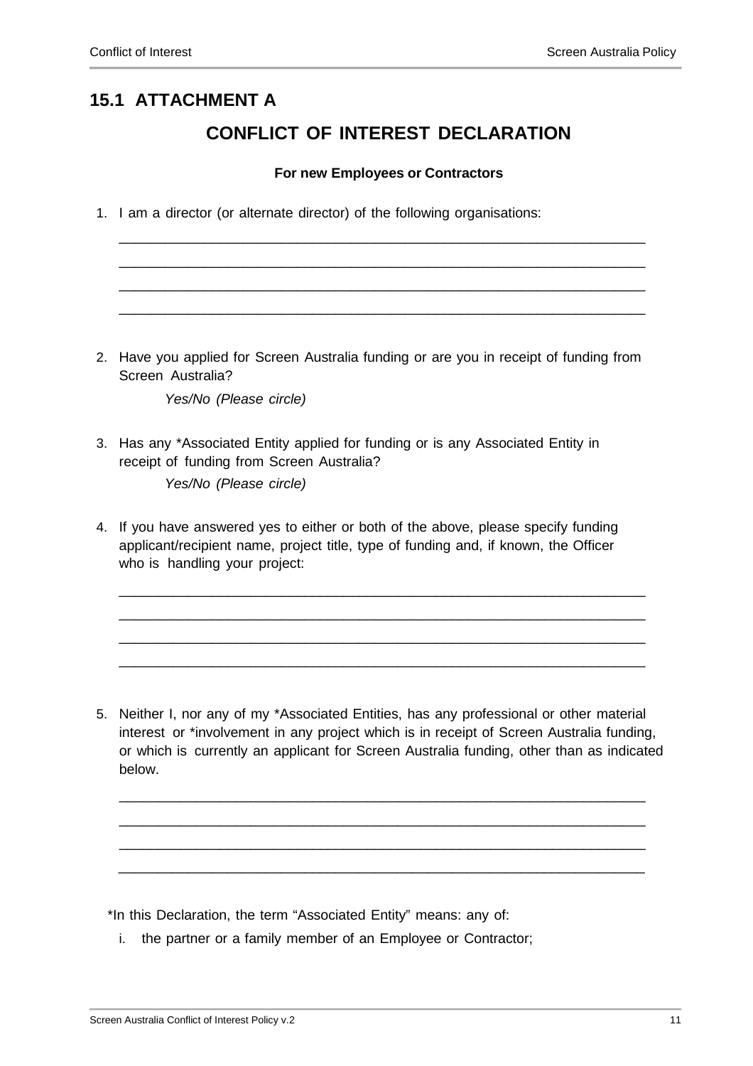# **15.1 ATTACHMENT A**

### **CONFLICT OF INTEREST DECLARATION**

#### **For new Employees or Contractors**

\_\_\_\_\_\_\_\_\_\_\_\_\_\_\_\_\_\_\_\_\_\_\_\_\_\_\_\_\_\_\_\_\_\_\_\_\_\_\_\_\_\_\_\_\_\_\_\_\_\_\_\_\_\_\_\_\_\_\_\_\_\_\_\_\_\_\_\_ \_\_\_\_\_\_\_\_\_\_\_\_\_\_\_\_\_\_\_\_\_\_\_\_\_\_\_\_\_\_\_\_\_\_\_\_\_\_\_\_\_\_\_\_\_\_\_\_\_\_\_\_\_\_\_\_\_\_\_\_\_\_\_\_\_\_\_\_ \_\_\_\_\_\_\_\_\_\_\_\_\_\_\_\_\_\_\_\_\_\_\_\_\_\_\_\_\_\_\_\_\_\_\_\_\_\_\_\_\_\_\_\_\_\_\_\_\_\_\_\_\_\_\_\_\_\_\_\_\_\_\_\_\_\_\_\_ \_\_\_\_\_\_\_\_\_\_\_\_\_\_\_\_\_\_\_\_\_\_\_\_\_\_\_\_\_\_\_\_\_\_\_\_\_\_\_\_\_\_\_\_\_\_\_\_\_\_\_\_\_\_\_\_\_\_\_\_\_\_\_\_\_\_\_\_

1. I am a director (or alternate director) of the following organisations:

2. Have you applied for Screen Australia funding or are you in receipt of funding from Screen Australia?

*Yes/No (Please circle)*

- 3. Has any \*Associated Entity applied for funding or is any Associated Entity in receipt of funding from Screen Australia? *Yes/No (Please circle)*
- 4. If you have answered yes to either or both of the above, please specify funding applicant/recipient name, project title, type of funding and, if known, the Officer who is handling your project:

5. Neither I, nor any of my \*Associated Entities, has any professional or other material interest or \*involvement in any project which is in receipt of Screen Australia funding, or which is currently an applicant for Screen Australia funding, other than as indicated below.

\_\_\_\_\_\_\_\_\_\_\_\_\_\_\_\_\_\_\_\_\_\_\_\_\_\_\_\_\_\_\_\_\_\_\_\_\_\_\_\_\_\_\_\_\_\_\_\_\_\_\_\_\_\_\_\_\_\_\_\_\_\_\_\_\_\_\_\_ \_\_\_\_\_\_\_\_\_\_\_\_\_\_\_\_\_\_\_\_\_\_\_\_\_\_\_\_\_\_\_\_\_\_\_\_\_\_\_\_\_\_\_\_\_\_\_\_\_\_\_\_\_\_\_\_\_\_\_\_\_\_\_\_\_\_\_\_ \_\_\_\_\_\_\_\_\_\_\_\_\_\_\_\_\_\_\_\_\_\_\_\_\_\_\_\_\_\_\_\_\_\_\_\_\_\_\_\_\_\_\_\_\_\_\_\_\_\_\_\_\_\_\_\_\_\_\_\_\_\_\_\_\_\_\_\_ \_\_\_\_\_\_\_\_\_\_\_\_\_\_\_\_\_\_\_\_\_\_\_\_\_\_\_\_\_\_\_\_\_\_\_\_\_\_\_\_\_\_\_\_\_\_\_\_\_\_\_\_\_\_\_\_\_\_\_\_\_\_\_\_\_\_\_\_

\_\_\_\_\_\_\_\_\_\_\_\_\_\_\_\_\_\_\_\_\_\_\_\_\_\_\_\_\_\_\_\_\_\_\_\_\_\_\_\_\_\_\_\_\_\_\_\_\_\_\_\_\_\_\_\_\_\_\_\_\_\_\_\_\_\_\_\_ \_\_\_\_\_\_\_\_\_\_\_\_\_\_\_\_\_\_\_\_\_\_\_\_\_\_\_\_\_\_\_\_\_\_\_\_\_\_\_\_\_\_\_\_\_\_\_\_\_\_\_\_\_\_\_\_\_\_\_\_\_\_\_\_\_\_\_\_ \_\_\_\_\_\_\_\_\_\_\_\_\_\_\_\_\_\_\_\_\_\_\_\_\_\_\_\_\_\_\_\_\_\_\_\_\_\_\_\_\_\_\_\_\_\_\_\_\_\_\_\_\_\_\_\_\_\_\_\_\_\_\_\_\_\_\_\_ \_\_\_\_\_\_\_\_\_\_\_\_\_\_\_\_\_\_\_\_\_\_\_\_\_\_\_\_\_\_\_\_\_\_\_\_\_\_\_\_\_\_\_\_\_\_\_\_\_\_\_\_\_\_\_\_\_\_\_\_\_\_\_\_\_\_\_\_

\*In this Declaration, the term "Associated Entity" means: any of:

i. the partner or a family member of an Employee or Contractor;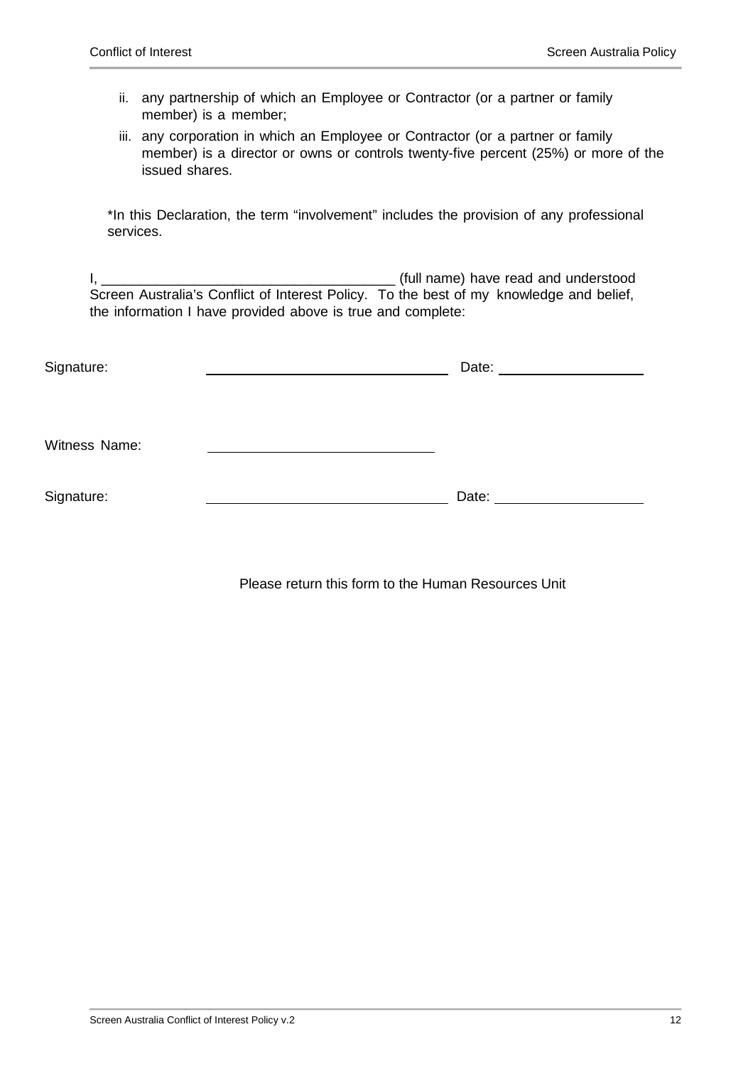- ii. any partnership of which an Employee or Contractor (or a partner or family member) is a member;
- iii. any corporation in which an Employee or Contractor (or a partner or family member) is a director or owns or controls twenty-five percent (25%) or more of the issued shares.

\*In this Declaration, the term "involvement" includes the provision of any professional services.

I, \_\_\_\_\_\_\_\_\_\_\_\_\_\_\_\_\_\_\_\_\_\_\_\_\_\_\_\_\_\_\_\_\_\_\_\_\_\_ (full name) have read and understood Screen Australia's Conflict of Interest Policy. To the best of my knowledge and belief, the information I have provided above is true and complete:

| Signature:    | Date: ______________________ |
|---------------|------------------------------|
| Witness Name: |                              |
| Signature:    | Date:                        |

Please return this form to the Human Resources Unit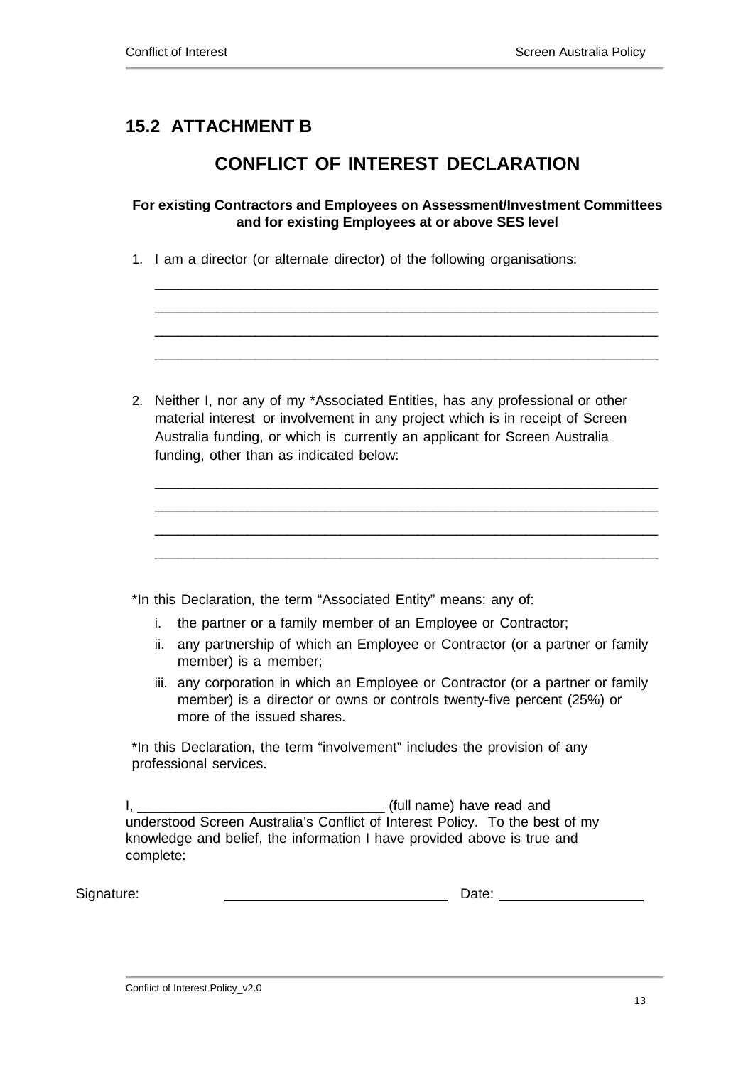## **15.2 ATTACHMENT B**

### **CONFLICT OF INTEREST DECLARATION**

#### **For existing Contractors and Employees on Assessment/Investment Committees and for existing Employees at or above SES level**

\_\_\_\_\_\_\_\_\_\_\_\_\_\_\_\_\_\_\_\_\_\_\_\_\_\_\_\_\_\_\_\_\_\_\_\_\_\_\_\_\_\_\_\_\_\_\_\_\_\_\_\_\_\_\_\_\_\_\_\_\_\_\_\_\_ \_\_\_\_\_\_\_\_\_\_\_\_\_\_\_\_\_\_\_\_\_\_\_\_\_\_\_\_\_\_\_\_\_\_\_\_\_\_\_\_\_\_\_\_\_\_\_\_\_\_\_\_\_\_\_\_\_\_\_\_\_\_\_\_\_ \_\_\_\_\_\_\_\_\_\_\_\_\_\_\_\_\_\_\_\_\_\_\_\_\_\_\_\_\_\_\_\_\_\_\_\_\_\_\_\_\_\_\_\_\_\_\_\_\_\_\_\_\_\_\_\_\_\_\_\_\_\_\_\_\_ \_\_\_\_\_\_\_\_\_\_\_\_\_\_\_\_\_\_\_\_\_\_\_\_\_\_\_\_\_\_\_\_\_\_\_\_\_\_\_\_\_\_\_\_\_\_\_\_\_\_\_\_\_\_\_\_\_\_\_\_\_\_\_\_\_

1. I am a director (or alternate director) of the following organisations:

| 2. Neither I, nor any of my *Associated Entities, has any professional or other |
|---------------------------------------------------------------------------------|
| material interest or involvement in any project which is in receipt of Screen   |
| Australia funding, or which is currently an applicant for Screen Australia      |
| funding, other than as indicated below:                                         |

\_\_\_\_\_\_\_\_\_\_\_\_\_\_\_\_\_\_\_\_\_\_\_\_\_\_\_\_\_\_\_\_\_\_\_\_\_\_\_\_\_\_\_\_\_\_\_\_\_\_\_\_\_\_\_\_\_\_\_\_\_\_\_\_\_ \_\_\_\_\_\_\_\_\_\_\_\_\_\_\_\_\_\_\_\_\_\_\_\_\_\_\_\_\_\_\_\_\_\_\_\_\_\_\_\_\_\_\_\_\_\_\_\_\_\_\_\_\_\_\_\_\_\_\_\_\_\_\_\_\_ \_\_\_\_\_\_\_\_\_\_\_\_\_\_\_\_\_\_\_\_\_\_\_\_\_\_\_\_\_\_\_\_\_\_\_\_\_\_\_\_\_\_\_\_\_\_\_\_\_\_\_\_\_\_\_\_\_\_\_\_\_\_\_\_\_ \_\_\_\_\_\_\_\_\_\_\_\_\_\_\_\_\_\_\_\_\_\_\_\_\_\_\_\_\_\_\_\_\_\_\_\_\_\_\_\_\_\_\_\_\_\_\_\_\_\_\_\_\_\_\_\_\_\_\_\_\_\_\_\_\_

\*In this Declaration, the term "Associated Entity" means: any of:

- i. the partner or a family member of an Employee or Contractor;
- ii. any partnership of which an Employee or Contractor (or a partner or family member) is a member;
- iii. any corporation in which an Employee or Contractor (or a partner or family member) is a director or owns or controls twenty-five percent (25%) or more of the issued shares.

\*In this Declaration, the term "involvement" includes the provision of any professional services.

I, the contract of the contract of the contract of the contract of the contract of the contract of the contract of the contract of the contract of the contract of the contract of the contract of the contract of the contrac understood Screen Australia's Conflict of Interest Policy. To the best of my knowledge and belief, the information I have provided above is true and complete:

Signature: Date: